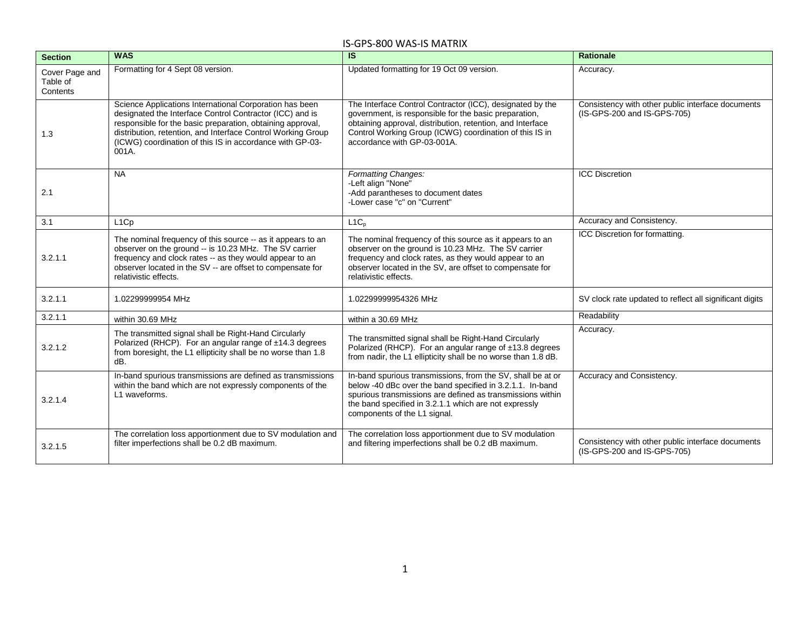| <b>Section</b>                         | <b>WAS</b>                                                                                                                                                                                                                                                                                                             | <b>IS</b>                                                                                                                                                                                                                                                                       | <b>Rationale</b>                                                                 |
|----------------------------------------|------------------------------------------------------------------------------------------------------------------------------------------------------------------------------------------------------------------------------------------------------------------------------------------------------------------------|---------------------------------------------------------------------------------------------------------------------------------------------------------------------------------------------------------------------------------------------------------------------------------|----------------------------------------------------------------------------------|
| Cover Page and<br>Table of<br>Contents | Formatting for 4 Sept 08 version.                                                                                                                                                                                                                                                                                      | Updated formatting for 19 Oct 09 version.                                                                                                                                                                                                                                       | Accuracy.                                                                        |
| 1.3                                    | Science Applications International Corporation has been<br>designated the Interface Control Contractor (ICC) and is<br>responsible for the basic preparation, obtaining approval,<br>distribution, retention, and Interface Control Working Group<br>(ICWG) coordination of this IS in accordance with GP-03-<br>001A. | The Interface Control Contractor (ICC), designated by the<br>government, is responsible for the basic preparation,<br>obtaining approval, distribution, retention, and Interface<br>Control Working Group (ICWG) coordination of this IS in<br>accordance with GP-03-001A.      | Consistency with other public interface documents<br>(IS-GPS-200 and IS-GPS-705) |
| 2.1                                    | <b>NA</b>                                                                                                                                                                                                                                                                                                              | Formatting Changes:<br>-Left align "None"<br>-Add parantheses to document dates<br>-Lower case "c" on "Current"                                                                                                                                                                 | <b>ICC Discretion</b>                                                            |
| 3.1                                    | L <sub>1</sub> C <sub>p</sub>                                                                                                                                                                                                                                                                                          | $L1C_p$                                                                                                                                                                                                                                                                         | Accuracy and Consistency.                                                        |
| 3.2.1.1                                | The nominal frequency of this source -- as it appears to an<br>observer on the ground -- is 10.23 MHz. The SV carrier<br>frequency and clock rates -- as they would appear to an<br>observer located in the SV -- are offset to compensate for<br>relativistic effects.                                                | The nominal frequency of this source as it appears to an<br>observer on the ground is 10.23 MHz. The SV carrier<br>frequency and clock rates, as they would appear to an<br>observer located in the SV, are offset to compensate for<br>relativistic effects.                   | ICC Discretion for formatting.                                                   |
| 3.2.1.1                                | 1.02299999954 MHz                                                                                                                                                                                                                                                                                                      | 1.02299999954326 MHz                                                                                                                                                                                                                                                            | SV clock rate updated to reflect all significant digits                          |
| 3.2.1.1                                | within 30.69 MHz                                                                                                                                                                                                                                                                                                       | within a 30.69 MHz                                                                                                                                                                                                                                                              | Readability                                                                      |
| 3.2.1.2                                | The transmitted signal shall be Right-Hand Circularly<br>Polarized (RHCP). For an angular range of ±14.3 degrees<br>from boresight, the L1 ellipticity shall be no worse than 1.8<br>dB.                                                                                                                               | The transmitted signal shall be Right-Hand Circularly<br>Polarized (RHCP). For an angular range of ±13.8 degrees<br>from nadir, the L1 ellipticity shall be no worse than 1.8 dB.                                                                                               | Accuracy.                                                                        |
| 3.2.1.4                                | In-band spurious transmissions are defined as transmissions<br>within the band which are not expressly components of the<br>L1 waveforms.                                                                                                                                                                              | In-band spurious transmissions, from the SV, shall be at or<br>below -40 dBc over the band specified in 3.2.1.1. In-band<br>spurious transmissions are defined as transmissions within<br>the band specified in 3.2.1.1 which are not expressly<br>components of the L1 signal. | Accuracy and Consistency.                                                        |
| 3.2.1.5                                | The correlation loss apportionment due to SV modulation and<br>filter imperfections shall be 0.2 dB maximum.                                                                                                                                                                                                           | The correlation loss apportionment due to SV modulation<br>and filtering imperfections shall be 0.2 dB maximum.                                                                                                                                                                 | Consistency with other public interface documents<br>(IS-GPS-200 and IS-GPS-705) |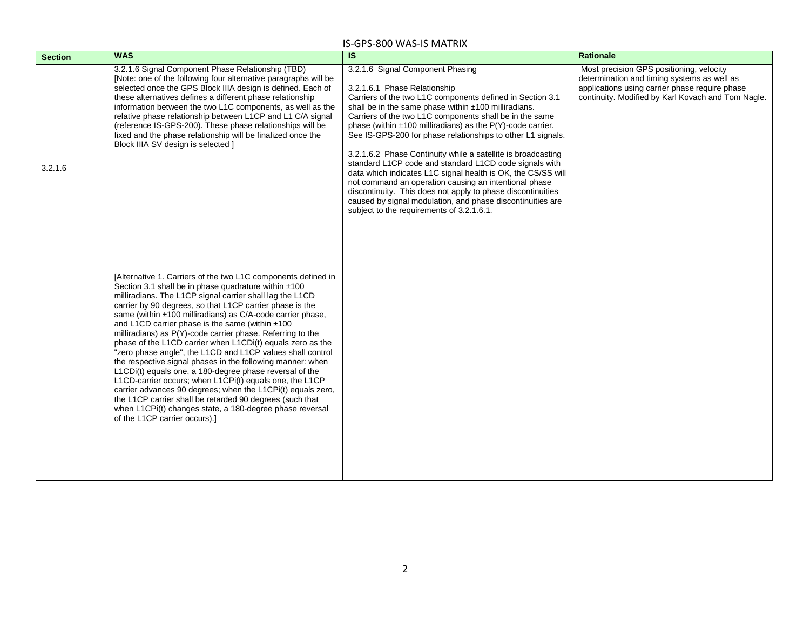| <b>Section</b> | <b>WAS</b>                                                                                                                                                                                                                                                                                                                                                                                                                                                                                                                                                                                                                                                                                                                                                                                                                                                                                                                                                           | $\overline{\mathbf{s}}$                                                                                                                                                                                                                                                                                                                                                                                                                                                                                                                                                                                                                                                                                                                                                                                         | <b>Rationale</b>                                                                                                                                                                                |
|----------------|----------------------------------------------------------------------------------------------------------------------------------------------------------------------------------------------------------------------------------------------------------------------------------------------------------------------------------------------------------------------------------------------------------------------------------------------------------------------------------------------------------------------------------------------------------------------------------------------------------------------------------------------------------------------------------------------------------------------------------------------------------------------------------------------------------------------------------------------------------------------------------------------------------------------------------------------------------------------|-----------------------------------------------------------------------------------------------------------------------------------------------------------------------------------------------------------------------------------------------------------------------------------------------------------------------------------------------------------------------------------------------------------------------------------------------------------------------------------------------------------------------------------------------------------------------------------------------------------------------------------------------------------------------------------------------------------------------------------------------------------------------------------------------------------------|-------------------------------------------------------------------------------------------------------------------------------------------------------------------------------------------------|
| 3.2.1.6        | 3.2.1.6 Signal Component Phase Relationship (TBD)<br>[Note: one of the following four alternative paragraphs will be<br>selected once the GPS Block IIIA design is defined. Each of<br>these alternatives defines a different phase relationship<br>information between the two L1C components, as well as the<br>relative phase relationship between L1CP and L1 C/A signal<br>(reference IS-GPS-200). These phase relationships will be<br>fixed and the phase relationship will be finalized once the<br>Block IIIA SV design is selected 1                                                                                                                                                                                                                                                                                                                                                                                                                       | 3.2.1.6 Signal Component Phasing<br>3.2.1.6.1 Phase Relationship<br>Carriers of the two L1C components defined in Section 3.1<br>shall be in the same phase within ±100 milliradians.<br>Carriers of the two L1C components shall be in the same<br>phase (within $\pm 100$ milliradians) as the P(Y)-code carrier.<br>See IS-GPS-200 for phase relationships to other L1 signals.<br>3.2.1.6.2 Phase Continuity while a satellite is broadcasting<br>standard L1CP code and standard L1CD code signals with<br>data which indicates L1C signal health is OK, the CS/SS will<br>not command an operation causing an intentional phase<br>discontinuity. This does not apply to phase discontinuities<br>caused by signal modulation, and phase discontinuities are<br>subject to the requirements of 3.2.1.6.1. | Most precision GPS positioning, velocity<br>determination and timing systems as well as<br>applications using carrier phase require phase<br>continuity. Modified by Karl Kovach and Tom Nagle. |
|                | [Alternative 1. Carriers of the two L1C components defined in<br>Section 3.1 shall be in phase quadrature within ±100<br>milliradians. The L1CP signal carrier shall lag the L1CD<br>carrier by 90 degrees, so that L1CP carrier phase is the<br>same (within ±100 milliradians) as C/A-code carrier phase,<br>and L1CD carrier phase is the same (within ±100<br>milliradians) as P(Y)-code carrier phase. Referring to the<br>phase of the L1CD carrier when L1CDi(t) equals zero as the<br>"zero phase angle", the L1CD and L1CP values shall control<br>the respective signal phases in the following manner: when<br>L1CDi(t) equals one, a 180-degree phase reversal of the<br>L1CD-carrier occurs; when L1CPi(t) equals one, the L1CP<br>carrier advances 90 degrees; when the L1CPi(t) equals zero,<br>the L1CP carrier shall be retarded 90 degrees (such that<br>when L1CPi(t) changes state, a 180-degree phase reversal<br>of the L1CP carrier occurs).] |                                                                                                                                                                                                                                                                                                                                                                                                                                                                                                                                                                                                                                                                                                                                                                                                                 |                                                                                                                                                                                                 |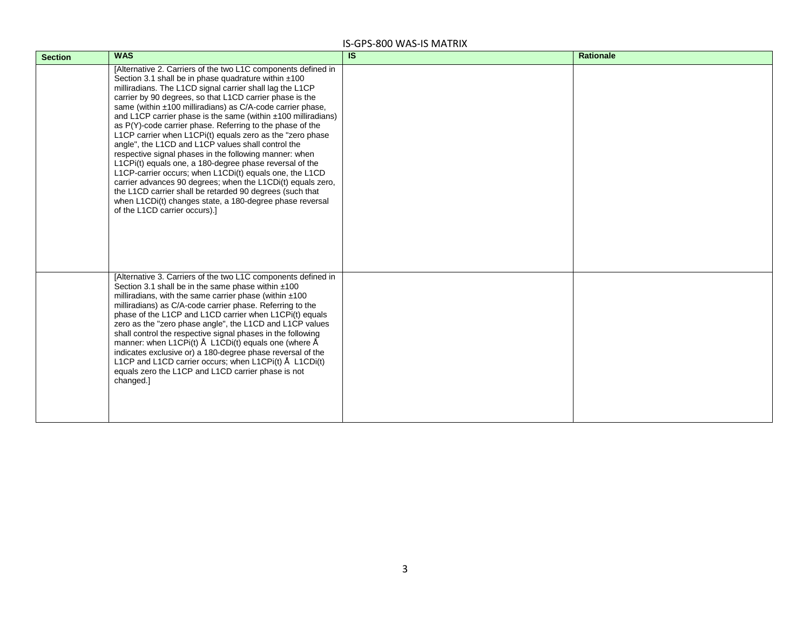| <b>Section</b> | <b>WAS</b>                                                                                                                                                                                                                                                                                                                                                                                                                                                                                                                                                                                                                                                                                                                                                                                                                                                                                                                                                                | $\overline{\mathsf{s}}$ | <b>Rationale</b> |
|----------------|---------------------------------------------------------------------------------------------------------------------------------------------------------------------------------------------------------------------------------------------------------------------------------------------------------------------------------------------------------------------------------------------------------------------------------------------------------------------------------------------------------------------------------------------------------------------------------------------------------------------------------------------------------------------------------------------------------------------------------------------------------------------------------------------------------------------------------------------------------------------------------------------------------------------------------------------------------------------------|-------------------------|------------------|
|                | [Alternative 2. Carriers of the two L1C components defined in<br>Section 3.1 shall be in phase quadrature within ±100<br>milliradians. The L1CD signal carrier shall lag the L1CP<br>carrier by 90 degrees, so that L1CD carrier phase is the<br>same (within ±100 milliradians) as C/A-code carrier phase,<br>and L1CP carrier phase is the same (within $\pm$ 100 milliradians)<br>as P(Y)-code carrier phase. Referring to the phase of the<br>L1CP carrier when L1CPi(t) equals zero as the "zero phase<br>angle", the L1CD and L1CP values shall control the<br>respective signal phases in the following manner: when<br>L1CPi(t) equals one, a 180-degree phase reversal of the<br>L1CP-carrier occurs; when L1CDi(t) equals one, the L1CD<br>carrier advances 90 degrees; when the L1CDi(t) equals zero,<br>the L1CD carrier shall be retarded 90 degrees (such that<br>when L1CDi(t) changes state, a 180-degree phase reversal<br>of the L1CD carrier occurs).] |                         |                  |
|                | [Alternative 3. Carriers of the two L1C components defined in<br>Section 3.1 shall be in the same phase within $±100$<br>milliradians, with the same carrier phase (within $±100$<br>milliradians) as C/A-code carrier phase. Referring to the<br>phase of the L1CP and L1CD carrier when L1CPi(t) equals<br>zero as the "zero phase angle", the L1CD and L1CP values<br>shall control the respective signal phases in the following<br>manner: when L1CPi(t) Å L1CDi(t) equals one (where Å<br>indicates exclusive or) a 180-degree phase reversal of the<br>L1CP and L1CD carrier occurs; when L1CPi(t) Å L1CDi(t)<br>equals zero the L1CP and L1CD carrier phase is not<br>changed.]                                                                                                                                                                                                                                                                                   |                         |                  |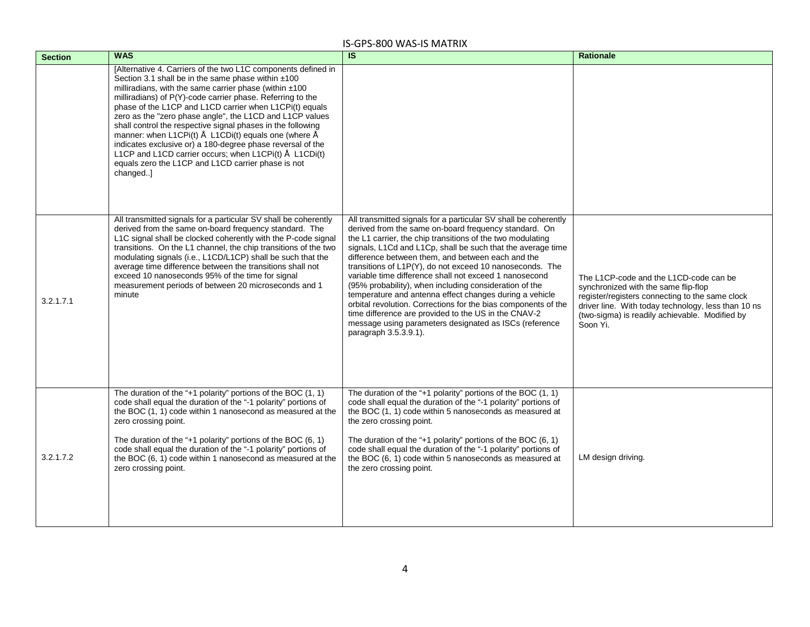| <b>Section</b> | <b>WAS</b>                                                                                                                                                                                                                                                                                                                                                                                                                                                                                                                                                                                                                                                                            | <b>IS</b>                                                                                                                                                                                                                                                                                                                                                                                                                                                                                                                                                                                                                                                                                                                                                          | <b>Rationale</b>                                                                                                                                                                                                                                       |
|----------------|---------------------------------------------------------------------------------------------------------------------------------------------------------------------------------------------------------------------------------------------------------------------------------------------------------------------------------------------------------------------------------------------------------------------------------------------------------------------------------------------------------------------------------------------------------------------------------------------------------------------------------------------------------------------------------------|--------------------------------------------------------------------------------------------------------------------------------------------------------------------------------------------------------------------------------------------------------------------------------------------------------------------------------------------------------------------------------------------------------------------------------------------------------------------------------------------------------------------------------------------------------------------------------------------------------------------------------------------------------------------------------------------------------------------------------------------------------------------|--------------------------------------------------------------------------------------------------------------------------------------------------------------------------------------------------------------------------------------------------------|
|                | [Alternative 4. Carriers of the two L1C components defined in<br>Section 3.1 shall be in the same phase within ±100<br>milliradians, with the same carrier phase (within $±100$<br>milliradians) of P(Y)-code carrier phase. Referring to the<br>phase of the L1CP and L1CD carrier when L1CPi(t) equals<br>zero as the "zero phase angle", the L1CD and L1CP values<br>shall control the respective signal phases in the following<br>manner: when L1CPi(t) Å L1CDi(t) equals one (where Å<br>indicates exclusive or) a 180-degree phase reversal of the<br>L1CP and L1CD carrier occurs; when L1CPi(t) Å L1CDi(t)<br>equals zero the L1CP and L1CD carrier phase is not<br>changed] |                                                                                                                                                                                                                                                                                                                                                                                                                                                                                                                                                                                                                                                                                                                                                                    |                                                                                                                                                                                                                                                        |
| 3.2.1.7.1      | All transmitted signals for a particular SV shall be coherently<br>derived from the same on-board frequency standard. The<br>L1C signal shall be clocked coherently with the P-code signal<br>transitions. On the L1 channel, the chip transitions of the two<br>modulating signals (i.e., L1CD/L1CP) shall be such that the<br>average time difference between the transitions shall not<br>exceed 10 nanoseconds 95% of the time for signal<br>measurement periods of between 20 microseconds and 1<br>minute                                                                                                                                                                       | All transmitted signals for a particular SV shall be coherently<br>derived from the same on-board frequency standard. On<br>the L1 carrier, the chip transitions of the two modulating<br>signals, L1Cd and L1Cp, shall be such that the average time<br>difference between them, and between each and the<br>transitions of L1P(Y), do not exceed 10 nanoseconds. The<br>variable time difference shall not exceed 1 nanosecond<br>(95% probability), when including consideration of the<br>temperature and antenna effect changes during a vehicle<br>orbital revolution. Corrections for the bias components of the<br>time difference are provided to the US in the CNAV-2<br>message using parameters designated as ISCs (reference<br>paragraph 3.5.3.9.1). | The L1CP-code and the L1CD-code can be<br>synchronized with the same flip-flop<br>register/registers connecting to the same clock<br>driver line. With today technology, less than 10 ns<br>(two-sigma) is readily achievable. Modified by<br>Soon Yi. |
| 3.2.1.7.2      | The duration of the "+1 polarity" portions of the BOC $(1, 1)$<br>code shall equal the duration of the "-1 polarity" portions of<br>the BOC (1, 1) code within 1 nanosecond as measured at the<br>zero crossing point.<br>The duration of the "+1 polarity" portions of the BOC $(6, 1)$<br>code shall equal the duration of the "-1 polarity" portions of<br>the BOC (6, 1) code within 1 nanosecond as measured at the<br>zero crossing point.                                                                                                                                                                                                                                      | The duration of the "+1 polarity" portions of the BOC $(1, 1)$<br>code shall equal the duration of the "-1 polarity" portions of<br>the BOC (1, 1) code within 5 nanoseconds as measured at<br>the zero crossing point.<br>The duration of the "+1 polarity" portions of the BOC $(6, 1)$<br>code shall equal the duration of the "-1 polarity" portions of<br>the BOC (6, 1) code within 5 nanoseconds as measured at<br>the zero crossing point.                                                                                                                                                                                                                                                                                                                 | LM design driving.                                                                                                                                                                                                                                     |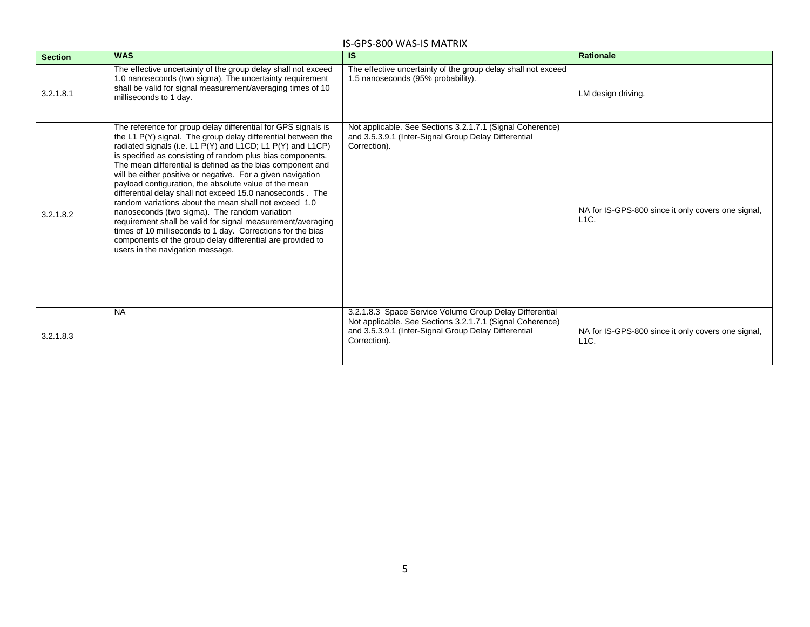| <b>Section</b> | <b>WAS</b>                                                                                                                                                                                                                                                                                                                                                                                                                                                                                                                                                                                                                                                                                                                                                                                                                                             | IS.                                                                                                                                                                                          | <b>Rationale</b>                                              |
|----------------|--------------------------------------------------------------------------------------------------------------------------------------------------------------------------------------------------------------------------------------------------------------------------------------------------------------------------------------------------------------------------------------------------------------------------------------------------------------------------------------------------------------------------------------------------------------------------------------------------------------------------------------------------------------------------------------------------------------------------------------------------------------------------------------------------------------------------------------------------------|----------------------------------------------------------------------------------------------------------------------------------------------------------------------------------------------|---------------------------------------------------------------|
| 3.2.1.8.1      | The effective uncertainty of the group delay shall not exceed<br>1.0 nanoseconds (two sigma). The uncertainty requirement<br>shall be valid for signal measurement/averaging times of 10<br>milliseconds to 1 day.                                                                                                                                                                                                                                                                                                                                                                                                                                                                                                                                                                                                                                     | The effective uncertainty of the group delay shall not exceed<br>1.5 nanoseconds (95% probability).                                                                                          | LM design driving.                                            |
| 3.2.1.8.2      | The reference for group delay differential for GPS signals is<br>the L1 P(Y) signal. The group delay differential between the<br>radiated signals (i.e. L1 P(Y) and L1CD; L1 P(Y) and L1CP)<br>is specified as consisting of random plus bias components.<br>The mean differential is defined as the bias component and<br>will be either positive or negative. For a given navigation<br>payload configuration, the absolute value of the mean<br>differential delay shall not exceed 15.0 nanoseconds. The<br>random variations about the mean shall not exceed 1.0<br>nanoseconds (two sigma). The random variation<br>requirement shall be valid for signal measurement/averaging<br>times of 10 milliseconds to 1 day. Corrections for the bias<br>components of the group delay differential are provided to<br>users in the navigation message. | Not applicable. See Sections 3.2.1.7.1 (Signal Coherence)<br>and 3.5.3.9.1 (Inter-Signal Group Delay Differential<br>Correction).                                                            | NA for IS-GPS-800 since it only covers one signal,<br>$L1C$ . |
| 3.2.1.8.3      | <b>NA</b>                                                                                                                                                                                                                                                                                                                                                                                                                                                                                                                                                                                                                                                                                                                                                                                                                                              | 3.2.1.8.3 Space Service Volume Group Delay Differential<br>Not applicable. See Sections 3.2.1.7.1 (Signal Coherence)<br>and 3.5.3.9.1 (Inter-Signal Group Delay Differential<br>Correction). | NA for IS-GPS-800 since it only covers one signal,<br>$L1C$ . |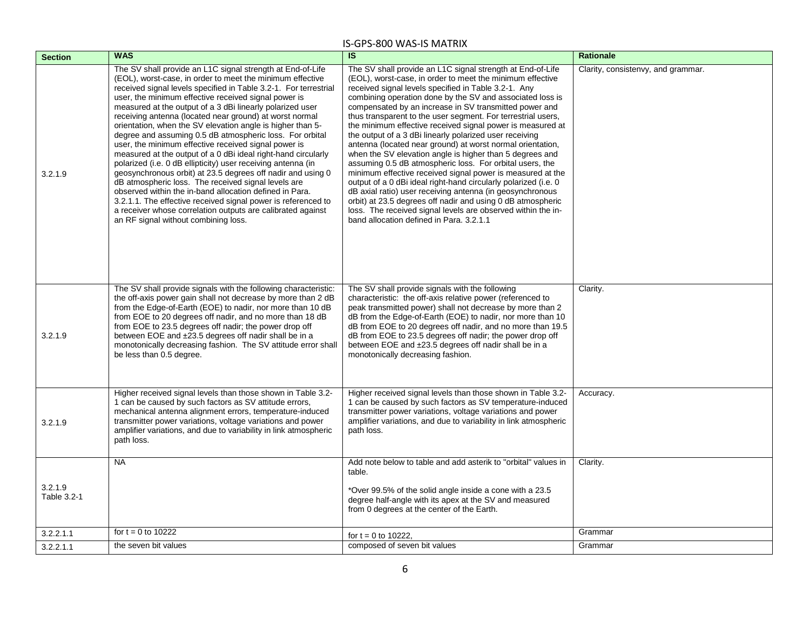| <b>Section</b>         | <b>WAS</b>                                                                                                                                                                                                                                                                                                                                                                                                                                                                                                                                                                                                                                                                                                                                                                                                                                                                                                                                                                                                                                              | $\overline{\mathsf{s}}$                                                                                                                                                                                                                                                                                                                                                                                                                                                                                                                                                                                                                                                                                                                                                                                                                                                                                                                                                                                                                                        | <b>Rationale</b>                   |
|------------------------|---------------------------------------------------------------------------------------------------------------------------------------------------------------------------------------------------------------------------------------------------------------------------------------------------------------------------------------------------------------------------------------------------------------------------------------------------------------------------------------------------------------------------------------------------------------------------------------------------------------------------------------------------------------------------------------------------------------------------------------------------------------------------------------------------------------------------------------------------------------------------------------------------------------------------------------------------------------------------------------------------------------------------------------------------------|----------------------------------------------------------------------------------------------------------------------------------------------------------------------------------------------------------------------------------------------------------------------------------------------------------------------------------------------------------------------------------------------------------------------------------------------------------------------------------------------------------------------------------------------------------------------------------------------------------------------------------------------------------------------------------------------------------------------------------------------------------------------------------------------------------------------------------------------------------------------------------------------------------------------------------------------------------------------------------------------------------------------------------------------------------------|------------------------------------|
| 3.2.1.9                | The SV shall provide an L1C signal strength at End-of-Life<br>(EOL), worst-case, in order to meet the minimum effective<br>received signal levels specified in Table 3.2-1. For terrestrial<br>user, the minimum effective received signal power is<br>measured at the output of a 3 dBi linearly polarized user<br>receiving antenna (located near ground) at worst normal<br>orientation, when the SV elevation angle is higher than 5-<br>degree and assuming 0.5 dB atmospheric loss. For orbital<br>user, the minimum effective received signal power is<br>measured at the output of a 0 dBi ideal right-hand circularly<br>polarized (i.e. 0 dB ellipticity) user receiving antenna (in<br>geosynchronous orbit) at 23.5 degrees off nadir and using 0<br>dB atmospheric loss. The received signal levels are<br>observed within the in-band allocation defined in Para.<br>3.2.1.1. The effective received signal power is referenced to<br>a receiver whose correlation outputs are calibrated against<br>an RF signal without combining loss. | The SV shall provide an L1C signal strength at End-of-Life<br>(EOL), worst-case, in order to meet the minimum effective<br>received signal levels specified in Table 3.2-1. Any<br>combining operation done by the SV and associated loss is<br>compensated by an increase in SV transmitted power and<br>thus transparent to the user segment. For terrestrial users,<br>the minimum effective received signal power is measured at<br>the output of a 3 dBi linearly polarized user receiving<br>antenna (located near ground) at worst normal orientation,<br>when the SV elevation angle is higher than 5 degrees and<br>assuming 0.5 dB atmospheric loss. For orbital users, the<br>minimum effective received signal power is measured at the<br>output of a 0 dBi ideal right-hand circularly polarized (i.e. 0<br>dB axial ratio) user receiving antenna (in geosynchronous<br>orbit) at 23.5 degrees off nadir and using 0 dB atmospheric<br>loss. The received signal levels are observed within the in-<br>band allocation defined in Para. 3.2.1.1 | Clarity, consistenvy, and grammar. |
| 3.2.1.9                | The SV shall provide signals with the following characteristic:<br>the off-axis power gain shall not decrease by more than 2 dB<br>from the Edge-of-Earth (EOE) to nadir, nor more than 10 dB<br>from EOE to 20 degrees off nadir, and no more than 18 dB<br>from EOE to 23.5 degrees off nadir; the power drop off<br>between EOE and ±23.5 degrees off nadir shall be in a<br>monotonically decreasing fashion. The SV attitude error shall<br>be less than 0.5 degree.                                                                                                                                                                                                                                                                                                                                                                                                                                                                                                                                                                               | The SV shall provide signals with the following<br>characteristic: the off-axis relative power (referenced to<br>peak transmitted power) shall not decrease by more than 2<br>dB from the Edge-of-Earth (EOE) to nadir, nor more than 10<br>dB from EOE to 20 degrees off nadir, and no more than 19.5<br>dB from EOE to 23.5 degrees off nadir; the power drop off<br>between EOE and ±23.5 degrees off nadir shall be in a<br>monotonically decreasing fashion.                                                                                                                                                                                                                                                                                                                                                                                                                                                                                                                                                                                              | Clarity.                           |
| 3.2.1.9                | Higher received signal levels than those shown in Table 3.2-<br>1 can be caused by such factors as SV attitude errors,<br>mechanical antenna alignment errors, temperature-induced<br>transmitter power variations, voltage variations and power<br>amplifier variations, and due to variability in link atmospheric<br>path loss.                                                                                                                                                                                                                                                                                                                                                                                                                                                                                                                                                                                                                                                                                                                      | Higher received signal levels than those shown in Table 3.2-<br>1 can be caused by such factors as SV temperature-induced<br>transmitter power variations, voltage variations and power<br>amplifier variations, and due to variability in link atmospheric<br>path loss.                                                                                                                                                                                                                                                                                                                                                                                                                                                                                                                                                                                                                                                                                                                                                                                      | Accuracy.                          |
|                        | <b>NA</b>                                                                                                                                                                                                                                                                                                                                                                                                                                                                                                                                                                                                                                                                                                                                                                                                                                                                                                                                                                                                                                               | Add note below to table and add asterik to "orbital" values in<br>table.                                                                                                                                                                                                                                                                                                                                                                                                                                                                                                                                                                                                                                                                                                                                                                                                                                                                                                                                                                                       | Clarity.                           |
| 3.2.1.9<br>Table 3.2-1 |                                                                                                                                                                                                                                                                                                                                                                                                                                                                                                                                                                                                                                                                                                                                                                                                                                                                                                                                                                                                                                                         | *Over 99.5% of the solid angle inside a cone with a 23.5<br>degree half-angle with its apex at the SV and measured<br>from 0 degrees at the center of the Earth.                                                                                                                                                                                                                                                                                                                                                                                                                                                                                                                                                                                                                                                                                                                                                                                                                                                                                               |                                    |
| 3.2.2.1.1              | for $t = 0$ to 10222                                                                                                                                                                                                                                                                                                                                                                                                                                                                                                                                                                                                                                                                                                                                                                                                                                                                                                                                                                                                                                    | for $t = 0$ to 10222,                                                                                                                                                                                                                                                                                                                                                                                                                                                                                                                                                                                                                                                                                                                                                                                                                                                                                                                                                                                                                                          | Grammar                            |
| 3.2.2.1.1              | the seven bit values                                                                                                                                                                                                                                                                                                                                                                                                                                                                                                                                                                                                                                                                                                                                                                                                                                                                                                                                                                                                                                    | composed of seven bit values                                                                                                                                                                                                                                                                                                                                                                                                                                                                                                                                                                                                                                                                                                                                                                                                                                                                                                                                                                                                                                   | Grammar                            |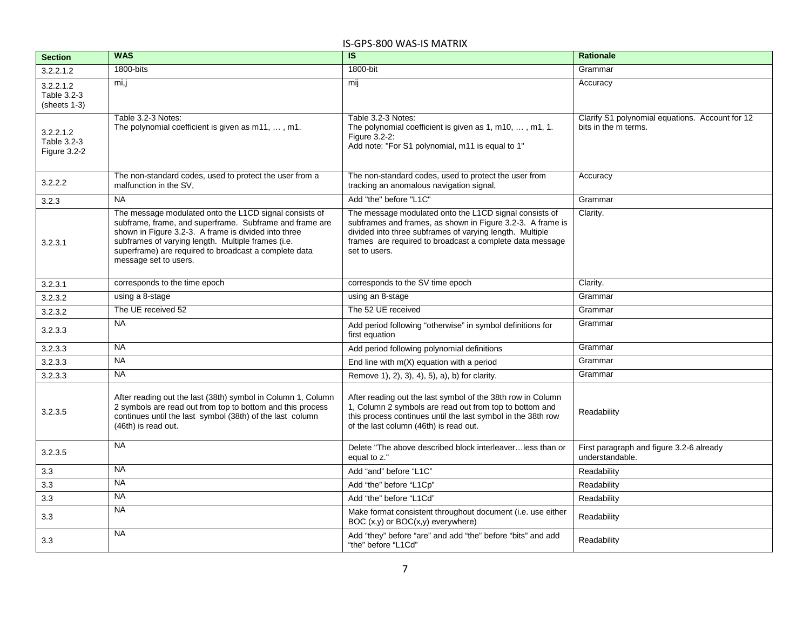| <b>Section</b>                           | <b>WAS</b>                                                                                                                                                                                                                                                                                                        | $\overline{\mathsf{IS}}$                                                                                                                                                                                                                                      | <b>Rationale</b>                                                        |
|------------------------------------------|-------------------------------------------------------------------------------------------------------------------------------------------------------------------------------------------------------------------------------------------------------------------------------------------------------------------|---------------------------------------------------------------------------------------------------------------------------------------------------------------------------------------------------------------------------------------------------------------|-------------------------------------------------------------------------|
| 3.2.2.1.2                                | $1800 - bits$                                                                                                                                                                                                                                                                                                     | 1800-bit                                                                                                                                                                                                                                                      | Grammar                                                                 |
| 3.2.2.1.2<br>Table 3.2-3<br>(sheets 1-3) | mi,j                                                                                                                                                                                                                                                                                                              | mij                                                                                                                                                                                                                                                           | Accuracy                                                                |
| 3.2.2.1.2<br>Table 3.2-3<br>Figure 3.2-2 | Table 3.2-3 Notes:<br>The polynomial coefficient is given as m11, , m1.                                                                                                                                                                                                                                           | Table 3.2-3 Notes:<br>The polynomial coefficient is given as 1, m10, , m1, 1.<br>Figure 3.2-2:<br>Add note: "For S1 polynomial, m11 is equal to 1"                                                                                                            | Clarify S1 polynomial equations. Account for 12<br>bits in the m terms. |
| 3.2.2.2                                  | The non-standard codes, used to protect the user from a<br>malfunction in the SV.                                                                                                                                                                                                                                 | The non-standard codes, used to protect the user from<br>tracking an anomalous navigation signal,                                                                                                                                                             | Accuracy                                                                |
| 3.2.3                                    | <b>NA</b>                                                                                                                                                                                                                                                                                                         | Add "the" before "L1C"                                                                                                                                                                                                                                        | Grammar                                                                 |
| 3.2.3.1                                  | The message modulated onto the L1CD signal consists of<br>subframe, frame, and superframe. Subframe and frame are<br>shown in Figure 3.2-3. A frame is divided into three<br>subframes of varying length. Multiple frames (i.e.<br>superframe) are required to broadcast a complete data<br>message set to users. | The message modulated onto the L1CD signal consists of<br>subframes and frames, as shown in Figure 3.2-3. A frame is<br>divided into three subframes of varying length. Multiple<br>frames are required to broadcast a complete data message<br>set to users. | Clarity.                                                                |
| 3.2.3.1                                  | corresponds to the time epoch                                                                                                                                                                                                                                                                                     | corresponds to the SV time epoch                                                                                                                                                                                                                              | Clarity.                                                                |
| 3.2.3.2                                  | using a 8-stage                                                                                                                                                                                                                                                                                                   | using an 8-stage                                                                                                                                                                                                                                              | Grammar                                                                 |
| 3.2.3.2                                  | The UE received 52                                                                                                                                                                                                                                                                                                | The 52 UE received                                                                                                                                                                                                                                            | Grammar                                                                 |
| 3.2.3.3                                  | <b>NA</b>                                                                                                                                                                                                                                                                                                         | Add period following "otherwise" in symbol definitions for<br>first equation                                                                                                                                                                                  | Grammar                                                                 |
| 3.2.3.3                                  | <b>NA</b>                                                                                                                                                                                                                                                                                                         | Add period following polynomial definitions                                                                                                                                                                                                                   | Grammar                                                                 |
| 3.2.3.3                                  | <b>NA</b>                                                                                                                                                                                                                                                                                                         | End line with $m(X)$ equation with a period                                                                                                                                                                                                                   | Grammar                                                                 |
| 3.2.3.3                                  | <b>NA</b>                                                                                                                                                                                                                                                                                                         | Remove 1), 2), 3), 4), 5), a), b) for clarity.                                                                                                                                                                                                                | Grammar                                                                 |
| 3.2.3.5                                  | After reading out the last (38th) symbol in Column 1, Column<br>2 symbols are read out from top to bottom and this process<br>continues until the last symbol (38th) of the last column<br>(46th) is read out.                                                                                                    | After reading out the last symbol of the 38th row in Column<br>1, Column 2 symbols are read out from top to bottom and<br>this process continues until the last symbol in the 38th row<br>of the last column (46th) is read out.                              | Readability                                                             |
| 3.2.3.5                                  | <b>NA</b>                                                                                                                                                                                                                                                                                                         | Delete "The above described block interleaverless than or<br>equal to z."                                                                                                                                                                                     | First paragraph and figure 3.2-6 already<br>understandable.             |
| 3.3                                      | <b>NA</b>                                                                                                                                                                                                                                                                                                         | Add "and" before "L1C"                                                                                                                                                                                                                                        | Readability                                                             |
| 3.3                                      | <b>NA</b>                                                                                                                                                                                                                                                                                                         | Add "the" before "L1Cp"                                                                                                                                                                                                                                       | Readability                                                             |
| 3.3                                      | <b>NA</b>                                                                                                                                                                                                                                                                                                         | Add "the" before "L1Cd"                                                                                                                                                                                                                                       | Readability                                                             |
| 3.3                                      | <b>NA</b>                                                                                                                                                                                                                                                                                                         | Make format consistent throughout document (i.e. use either<br>BOC (x,y) or BOC(x,y) everywhere)                                                                                                                                                              | Readability                                                             |
| 3.3                                      | <b>NA</b>                                                                                                                                                                                                                                                                                                         | Add "they" before "are" and add "the" before "bits" and add<br>"the" before "L1Cd"                                                                                                                                                                            | Readability                                                             |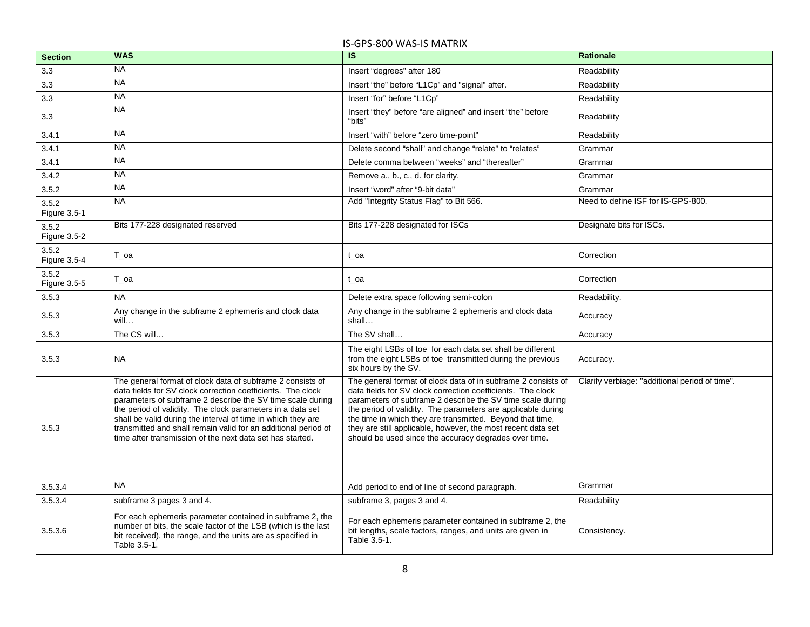| <b>Section</b>        | <b>WAS</b>                                                                                                                                                                                                                                                                                                                                                                                                                                           | $\overline{\mathsf{s}}$                                                                                                                                                                                                                                                                                                                                                                                                                          | <b>Rationale</b>                               |
|-----------------------|------------------------------------------------------------------------------------------------------------------------------------------------------------------------------------------------------------------------------------------------------------------------------------------------------------------------------------------------------------------------------------------------------------------------------------------------------|--------------------------------------------------------------------------------------------------------------------------------------------------------------------------------------------------------------------------------------------------------------------------------------------------------------------------------------------------------------------------------------------------------------------------------------------------|------------------------------------------------|
| 3.3                   | <b>NA</b>                                                                                                                                                                                                                                                                                                                                                                                                                                            | Insert "degrees" after 180                                                                                                                                                                                                                                                                                                                                                                                                                       | Readability                                    |
| 3.3                   | <b>NA</b>                                                                                                                                                                                                                                                                                                                                                                                                                                            | Insert "the" before "L1Cp" and "signal" after.                                                                                                                                                                                                                                                                                                                                                                                                   | Readability                                    |
| 3.3                   | <b>NA</b>                                                                                                                                                                                                                                                                                                                                                                                                                                            | Insert "for" before "L1Cp"                                                                                                                                                                                                                                                                                                                                                                                                                       | Readability                                    |
| 3.3                   | <b>NA</b>                                                                                                                                                                                                                                                                                                                                                                                                                                            | Insert "they" before "are aligned" and insert "the" before<br>"bits"                                                                                                                                                                                                                                                                                                                                                                             | Readability                                    |
| 3.4.1                 | <b>NA</b>                                                                                                                                                                                                                                                                                                                                                                                                                                            | Insert "with" before "zero time-point"                                                                                                                                                                                                                                                                                                                                                                                                           | Readability                                    |
| 3.4.1                 | <b>NA</b>                                                                                                                                                                                                                                                                                                                                                                                                                                            | Delete second "shall" and change "relate" to "relates"                                                                                                                                                                                                                                                                                                                                                                                           | Grammar                                        |
| 3.4.1                 | <b>NA</b>                                                                                                                                                                                                                                                                                                                                                                                                                                            | Delete comma between "weeks" and "thereafter"                                                                                                                                                                                                                                                                                                                                                                                                    | Grammar                                        |
| 3.4.2                 | <b>NA</b>                                                                                                                                                                                                                                                                                                                                                                                                                                            | Remove a., b., c., d. for clarity.                                                                                                                                                                                                                                                                                                                                                                                                               | Grammar                                        |
| 3.5.2                 | <b>NA</b>                                                                                                                                                                                                                                                                                                                                                                                                                                            | Insert "word" after "9-bit data"                                                                                                                                                                                                                                                                                                                                                                                                                 | Grammar                                        |
| 3.5.2<br>Figure 3.5-1 | <b>NA</b>                                                                                                                                                                                                                                                                                                                                                                                                                                            | Add "Integrity Status Flag" to Bit 566.                                                                                                                                                                                                                                                                                                                                                                                                          | Need to define ISF for IS-GPS-800.             |
| 3.5.2<br>Figure 3.5-2 | Bits 177-228 designated reserved                                                                                                                                                                                                                                                                                                                                                                                                                     | Bits 177-228 designated for ISCs                                                                                                                                                                                                                                                                                                                                                                                                                 | Designate bits for ISCs.                       |
| 3.5.2<br>Figure 3.5-4 | T_oa                                                                                                                                                                                                                                                                                                                                                                                                                                                 | $t$ oa                                                                                                                                                                                                                                                                                                                                                                                                                                           | Correction                                     |
| 3.5.2<br>Figure 3.5-5 | T_oa                                                                                                                                                                                                                                                                                                                                                                                                                                                 | t_oa                                                                                                                                                                                                                                                                                                                                                                                                                                             | Correction                                     |
| 3.5.3                 | <b>NA</b>                                                                                                                                                                                                                                                                                                                                                                                                                                            | Delete extra space following semi-colon                                                                                                                                                                                                                                                                                                                                                                                                          | Readability.                                   |
| 3.5.3                 | Any change in the subframe 2 ephemeris and clock data<br>will                                                                                                                                                                                                                                                                                                                                                                                        | Any change in the subframe 2 ephemeris and clock data<br>shall                                                                                                                                                                                                                                                                                                                                                                                   | Accuracy                                       |
| 3.5.3                 | The CS will                                                                                                                                                                                                                                                                                                                                                                                                                                          | The SV shall                                                                                                                                                                                                                                                                                                                                                                                                                                     | Accuracy                                       |
| 3.5.3                 | <b>NA</b>                                                                                                                                                                                                                                                                                                                                                                                                                                            | The eight LSBs of toe for each data set shall be different<br>from the eight LSBs of toe transmitted during the previous<br>six hours by the SV.                                                                                                                                                                                                                                                                                                 | Accuracy.                                      |
| 3.5.3                 | The general format of clock data of subframe 2 consists of<br>data fields for SV clock correction coefficients. The clock<br>parameters of subframe 2 describe the SV time scale during<br>the period of validity. The clock parameters in a data set<br>shall be valid during the interval of time in which they are<br>transmitted and shall remain valid for an additional period of<br>time after transmission of the next data set has started. | The general format of clock data of in subframe 2 consists of<br>data fields for SV clock correction coefficients. The clock<br>parameters of subframe 2 describe the SV time scale during<br>the period of validity. The parameters are applicable during<br>the time in which they are transmitted. Beyond that time,<br>they are still applicable, however, the most recent data set<br>should be used since the accuracy degrades over time. | Clarify verbiage: "additional period of time". |
| 3.5.3.4               | <b>NA</b>                                                                                                                                                                                                                                                                                                                                                                                                                                            | Add period to end of line of second paragraph.                                                                                                                                                                                                                                                                                                                                                                                                   | Grammar                                        |
| 3.5.3.4               | subframe 3 pages 3 and 4.                                                                                                                                                                                                                                                                                                                                                                                                                            | subframe 3, pages 3 and 4.                                                                                                                                                                                                                                                                                                                                                                                                                       | Readability                                    |
| 3.5.3.6               | For each ephemeris parameter contained in subframe 2, the<br>number of bits, the scale factor of the LSB (which is the last<br>bit received), the range, and the units are as specified in<br>Table 3.5-1.                                                                                                                                                                                                                                           | For each ephemeris parameter contained in subframe 2, the<br>bit lengths, scale factors, ranges, and units are given in<br>Table 3.5-1.                                                                                                                                                                                                                                                                                                          | Consistency.                                   |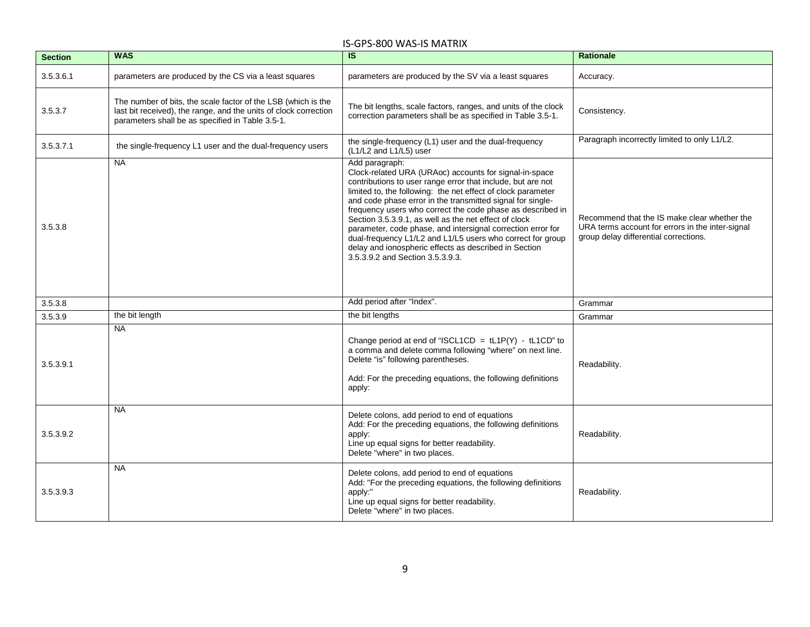| <b>Section</b> | <b>WAS</b>                                                                                                                                                                            | $\overline{\mathsf{S}}$                                                                                                                                                                                                                                                                                                                                                                                                                                                                                                                                                                                                | <b>Rationale</b>                                                                                                                          |
|----------------|---------------------------------------------------------------------------------------------------------------------------------------------------------------------------------------|------------------------------------------------------------------------------------------------------------------------------------------------------------------------------------------------------------------------------------------------------------------------------------------------------------------------------------------------------------------------------------------------------------------------------------------------------------------------------------------------------------------------------------------------------------------------------------------------------------------------|-------------------------------------------------------------------------------------------------------------------------------------------|
| 3.5.3.6.1      | parameters are produced by the CS via a least squares                                                                                                                                 | parameters are produced by the SV via a least squares                                                                                                                                                                                                                                                                                                                                                                                                                                                                                                                                                                  | Accuracy.                                                                                                                                 |
| 3.5.3.7        | The number of bits, the scale factor of the LSB (which is the<br>last bit received), the range, and the units of clock correction<br>parameters shall be as specified in Table 3.5-1. | The bit lengths, scale factors, ranges, and units of the clock<br>correction parameters shall be as specified in Table 3.5-1.                                                                                                                                                                                                                                                                                                                                                                                                                                                                                          | Consistency.                                                                                                                              |
| 3.5.3.7.1      | the single-frequency L1 user and the dual-frequency users                                                                                                                             | the single-frequency (L1) user and the dual-frequency<br>(L1/L2 and L1/L5) user                                                                                                                                                                                                                                                                                                                                                                                                                                                                                                                                        | Paragraph incorrectly limited to only L1/L2.                                                                                              |
| 3.5.3.8        | <b>NA</b>                                                                                                                                                                             | Add paragraph:<br>Clock-related URA (URAoc) accounts for signal-in-space<br>contributions to user range error that include, but are not<br>limited to, the following: the net effect of clock parameter<br>and code phase error in the transmitted signal for single-<br>frequency users who correct the code phase as described in<br>Section 3.5.3.9.1, as well as the net effect of clock<br>parameter, code phase, and intersignal correction error for<br>dual-frequency L1/L2 and L1/L5 users who correct for group<br>delay and ionospheric effects as described in Section<br>3.5.3.9.2 and Section 3.5.3.9.3. | Recommend that the IS make clear whether the<br>URA terms account for errors in the inter-signal<br>group delay differential corrections. |
| 3.5.3.8        |                                                                                                                                                                                       | Add period after "Index".                                                                                                                                                                                                                                                                                                                                                                                                                                                                                                                                                                                              | Grammar                                                                                                                                   |
| 3.5.3.9        | the bit length                                                                                                                                                                        | the bit lengths                                                                                                                                                                                                                                                                                                                                                                                                                                                                                                                                                                                                        | Grammar                                                                                                                                   |
| 3.5.3.9.1      | <b>NA</b>                                                                                                                                                                             | Change period at end of "ISCL1CD = $tL1P(Y) - tL1CD"$ to<br>a comma and delete comma following "where" on next line.<br>Delete "is" following parentheses.<br>Add: For the preceding equations, the following definitions<br>apply:                                                                                                                                                                                                                                                                                                                                                                                    | Readability.                                                                                                                              |
| 3.5.3.9.2      | <b>NA</b>                                                                                                                                                                             | Delete colons, add period to end of equations<br>Add: For the preceding equations, the following definitions<br>apply:<br>Line up equal signs for better readability.<br>Delete "where" in two places.                                                                                                                                                                                                                                                                                                                                                                                                                 | Readability.                                                                                                                              |
| 3.5.3.9.3      | <b>NA</b>                                                                                                                                                                             | Delete colons, add period to end of equations<br>Add: "For the preceding equations, the following definitions<br>apply:"<br>Line up equal signs for better readability.<br>Delete "where" in two places.                                                                                                                                                                                                                                                                                                                                                                                                               | Readability.                                                                                                                              |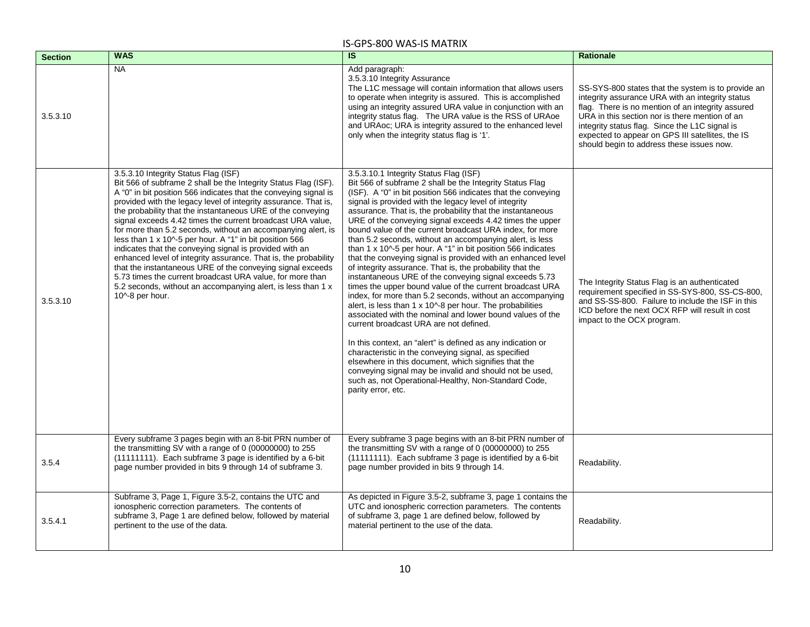| <b>Section</b> | <b>WAS</b>                                                                                                                                                                                                                                                                                                                                                                                                                                                                                                                                                                                                                                                                                                                                                                                                                                         | $\overline{\mathsf{S}}$                                                                                                                                                                                                                                                                                                                                                                                                                                                                                                                                                                                                                                                                                                                                                                                                                                                                                                                                                                                                                                                                                                                                                                                                                                                                                                                                    | <b>Rationale</b>                                                                                                                                                                                                                                                                                                                                                 |
|----------------|----------------------------------------------------------------------------------------------------------------------------------------------------------------------------------------------------------------------------------------------------------------------------------------------------------------------------------------------------------------------------------------------------------------------------------------------------------------------------------------------------------------------------------------------------------------------------------------------------------------------------------------------------------------------------------------------------------------------------------------------------------------------------------------------------------------------------------------------------|------------------------------------------------------------------------------------------------------------------------------------------------------------------------------------------------------------------------------------------------------------------------------------------------------------------------------------------------------------------------------------------------------------------------------------------------------------------------------------------------------------------------------------------------------------------------------------------------------------------------------------------------------------------------------------------------------------------------------------------------------------------------------------------------------------------------------------------------------------------------------------------------------------------------------------------------------------------------------------------------------------------------------------------------------------------------------------------------------------------------------------------------------------------------------------------------------------------------------------------------------------------------------------------------------------------------------------------------------------|------------------------------------------------------------------------------------------------------------------------------------------------------------------------------------------------------------------------------------------------------------------------------------------------------------------------------------------------------------------|
| 3.5.3.10       | <b>NA</b>                                                                                                                                                                                                                                                                                                                                                                                                                                                                                                                                                                                                                                                                                                                                                                                                                                          | Add paragraph:<br>3.5.3.10 Integrity Assurance<br>The L1C message will contain information that allows users<br>to operate when integrity is assured. This is accomplished<br>using an integrity assured URA value in conjunction with an<br>integrity status flag. The URA value is the RSS of URAoe<br>and URAoc; URA is integrity assured to the enhanced level<br>only when the integrity status flag is '1'.                                                                                                                                                                                                                                                                                                                                                                                                                                                                                                                                                                                                                                                                                                                                                                                                                                                                                                                                          | SS-SYS-800 states that the system is to provide an<br>integrity assurance URA with an integrity status<br>flag. There is no mention of an integrity assured<br>URA in this section nor is there mention of an<br>integrity status flag. Since the L1C signal is<br>expected to appear on GPS III satellites, the IS<br>should begin to address these issues now. |
| 3.5.3.10       | 3.5.3.10 Integrity Status Flag (ISF)<br>Bit 566 of subframe 2 shall be the Integrity Status Flag (ISF).<br>A "0" in bit position 566 indicates that the conveying signal is<br>provided with the legacy level of integrity assurance. That is,<br>the probability that the instantaneous URE of the conveying<br>signal exceeds 4.42 times the current broadcast URA value,<br>for more than 5.2 seconds, without an accompanying alert, is<br>less than 1 x 10^-5 per hour. A "1" in bit position 566<br>indicates that the conveying signal is provided with an<br>enhanced level of integrity assurance. That is, the probability<br>that the instantaneous URE of the conveying signal exceeds<br>5.73 times the current broadcast URA value, for more than<br>5.2 seconds, without an accompanying alert, is less than 1 x<br>10^-8 per hour. | 3.5.3.10.1 Integrity Status Flag (ISF)<br>Bit 566 of subframe 2 shall be the Integrity Status Flag<br>(ISF). A "0" in bit position 566 indicates that the conveying<br>signal is provided with the legacy level of integrity<br>assurance. That is, the probability that the instantaneous<br>URE of the conveying signal exceeds 4.42 times the upper<br>bound value of the current broadcast URA index, for more<br>than 5.2 seconds, without an accompanying alert, is less<br>than 1 x 10^-5 per hour. A "1" in bit position 566 indicates<br>that the conveying signal is provided with an enhanced level<br>of integrity assurance. That is, the probability that the<br>instantaneous URE of the conveying signal exceeds 5.73<br>times the upper bound value of the current broadcast URA<br>index, for more than 5.2 seconds, without an accompanying<br>alert, is less than 1 x 10^-8 per hour. The probabilities<br>associated with the nominal and lower bound values of the<br>current broadcast URA are not defined.<br>In this context, an "alert" is defined as any indication or<br>characteristic in the conveying signal, as specified<br>elsewhere in this document, which signifies that the<br>conveying signal may be invalid and should not be used,<br>such as, not Operational-Healthy, Non-Standard Code,<br>parity error, etc. | The Integrity Status Flag is an authenticated<br>requirement specified in SS-SYS-800, SS-CS-800,<br>and SS-SS-800. Failure to include the ISF in this<br>ICD before the next OCX RFP will result in cost<br>impact to the OCX program.                                                                                                                           |
| 3.5.4          | Every subframe 3 pages begin with an 8-bit PRN number of<br>the transmitting SV with a range of 0 (00000000) to 255<br>(11111111). Each subframe 3 page is identified by a 6-bit<br>page number provided in bits 9 through 14 of subframe 3.                                                                                                                                                                                                                                                                                                                                                                                                                                                                                                                                                                                                       | Every subframe 3 page begins with an 8-bit PRN number of<br>the transmitting SV with a range of 0 (00000000) to 255<br>(11111111). Each subframe 3 page is identified by a 6-bit<br>page number provided in bits 9 through 14.                                                                                                                                                                                                                                                                                                                                                                                                                                                                                                                                                                                                                                                                                                                                                                                                                                                                                                                                                                                                                                                                                                                             | Readability.                                                                                                                                                                                                                                                                                                                                                     |
| 3.5.4.1        | Subframe 3, Page 1, Figure 3.5-2, contains the UTC and<br>ionospheric correction parameters. The contents of<br>subframe 3, Page 1 are defined below, followed by material<br>pertinent to the use of the data.                                                                                                                                                                                                                                                                                                                                                                                                                                                                                                                                                                                                                                    | As depicted in Figure 3.5-2, subframe 3, page 1 contains the<br>UTC and ionospheric correction parameters. The contents<br>of subframe 3, page 1 are defined below, followed by<br>material pertinent to the use of the data.                                                                                                                                                                                                                                                                                                                                                                                                                                                                                                                                                                                                                                                                                                                                                                                                                                                                                                                                                                                                                                                                                                                              | Readability.                                                                                                                                                                                                                                                                                                                                                     |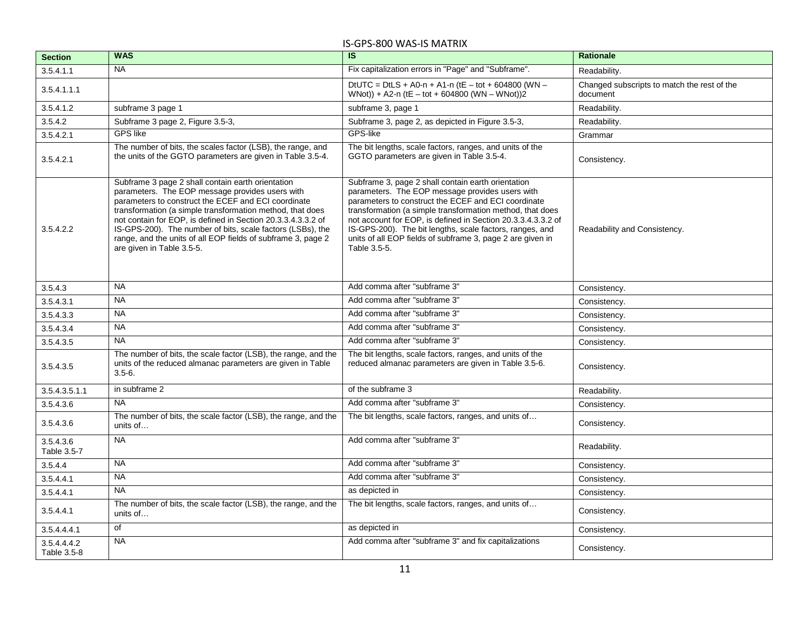| <b>Section</b>             | <b>WAS</b>                                                                                                                                                                                                                                                                                                                                                                                                                                          | $\overline{\mathsf{s}}$                                                                                                                                                                                                                                                                                                                                                                                                             | <b>Rationale</b>                                        |
|----------------------------|-----------------------------------------------------------------------------------------------------------------------------------------------------------------------------------------------------------------------------------------------------------------------------------------------------------------------------------------------------------------------------------------------------------------------------------------------------|-------------------------------------------------------------------------------------------------------------------------------------------------------------------------------------------------------------------------------------------------------------------------------------------------------------------------------------------------------------------------------------------------------------------------------------|---------------------------------------------------------|
| 3.5.4.1.1                  | <b>NA</b>                                                                                                                                                                                                                                                                                                                                                                                                                                           | Fix capitalization errors in "Page" and "Subframe".                                                                                                                                                                                                                                                                                                                                                                                 | Readability.                                            |
| 3.5.4.1.1.1                |                                                                                                                                                                                                                                                                                                                                                                                                                                                     | DtUTC = DtLS + A0-n + A1-n (tE - tot + 604800 (WN -<br>WNot)) + A2-n (tE - tot + 604800 (WN - WNot))2                                                                                                                                                                                                                                                                                                                               | Changed subscripts to match the rest of the<br>document |
| 3.5.4.1.2                  | subframe 3 page 1                                                                                                                                                                                                                                                                                                                                                                                                                                   | subframe 3, page 1                                                                                                                                                                                                                                                                                                                                                                                                                  | Readability.                                            |
| 3.5.4.2                    | Subframe 3 page 2, Figure 3.5-3,                                                                                                                                                                                                                                                                                                                                                                                                                    | Subframe 3, page 2, as depicted in Figure 3.5-3,                                                                                                                                                                                                                                                                                                                                                                                    | Readability.                                            |
| 3.5.4.2.1                  | <b>GPS</b> like                                                                                                                                                                                                                                                                                                                                                                                                                                     | GPS-like                                                                                                                                                                                                                                                                                                                                                                                                                            | Grammar                                                 |
| 3.5.4.2.1                  | The number of bits, the scales factor (LSB), the range, and<br>the units of the GGTO parameters are given in Table 3.5-4.                                                                                                                                                                                                                                                                                                                           | The bit lengths, scale factors, ranges, and units of the<br>GGTO parameters are given in Table 3.5-4.                                                                                                                                                                                                                                                                                                                               | Consistency.                                            |
| 3.5.4.2.2                  | Subframe 3 page 2 shall contain earth orientation<br>parameters. The EOP message provides users with<br>parameters to construct the ECEF and ECI coordinate<br>transformation (a simple transformation method, that does<br>not contain for EOP, is defined in Section 20.3.3.4.3.3.2 of<br>IS-GPS-200). The number of bits, scale factors (LSBs), the<br>range, and the units of all EOP fields of subframe 3, page 2<br>are given in Table 3.5-5. | Subframe 3, page 2 shall contain earth orientation<br>parameters. The EOP message provides users with<br>parameters to construct the ECEF and ECI coordinate<br>transformation (a simple transformation method, that does<br>not account for EOP, is defined in Section 20.3.3.4.3.3.2 of<br>IS-GPS-200). The bit lengths, scale factors, ranges, and<br>units of all EOP fields of subframe 3, page 2 are given in<br>Table 3.5-5. | Readability and Consistency.                            |
| 3.5.4.3                    | <b>NA</b>                                                                                                                                                                                                                                                                                                                                                                                                                                           | Add comma after "subframe 3"                                                                                                                                                                                                                                                                                                                                                                                                        | Consistency.                                            |
| 3.5.4.3.1                  | <b>NA</b>                                                                                                                                                                                                                                                                                                                                                                                                                                           | Add comma after "subframe 3"                                                                                                                                                                                                                                                                                                                                                                                                        | Consistency.                                            |
| 3.5.4.3.3                  | <b>NA</b>                                                                                                                                                                                                                                                                                                                                                                                                                                           | Add comma after "subframe 3"                                                                                                                                                                                                                                                                                                                                                                                                        | Consistency.                                            |
| 3.5.4.3.4                  | <b>NA</b>                                                                                                                                                                                                                                                                                                                                                                                                                                           | Add comma after "subframe 3"                                                                                                                                                                                                                                                                                                                                                                                                        | Consistency.                                            |
| 3.5.4.3.5                  | <b>NA</b>                                                                                                                                                                                                                                                                                                                                                                                                                                           | Add comma after "subframe 3"                                                                                                                                                                                                                                                                                                                                                                                                        | Consistency.                                            |
| 3.5.4.3.5                  | The number of bits, the scale factor (LSB), the range, and the<br>units of the reduced almanac parameters are given in Table<br>$3.5 - 6.$                                                                                                                                                                                                                                                                                                          | The bit lengths, scale factors, ranges, and units of the<br>reduced almanac parameters are given in Table 3.5-6.                                                                                                                                                                                                                                                                                                                    | Consistency.                                            |
| 3.5.4.3.5.1.1              | in subframe 2                                                                                                                                                                                                                                                                                                                                                                                                                                       | of the subframe 3                                                                                                                                                                                                                                                                                                                                                                                                                   | Readability.                                            |
| 3.5.4.3.6                  | <b>NA</b>                                                                                                                                                                                                                                                                                                                                                                                                                                           | Add comma after "subframe 3"                                                                                                                                                                                                                                                                                                                                                                                                        | Consistency.                                            |
| 3.5.4.3.6                  | The number of bits, the scale factor (LSB), the range, and the<br>units of                                                                                                                                                                                                                                                                                                                                                                          | The bit lengths, scale factors, ranges, and units of                                                                                                                                                                                                                                                                                                                                                                                | Consistency.                                            |
| 3.5.4.3.6<br>Table 3.5-7   | <b>NA</b>                                                                                                                                                                                                                                                                                                                                                                                                                                           | Add comma after "subframe 3"                                                                                                                                                                                                                                                                                                                                                                                                        | Readability.                                            |
| 3.5.4.4                    | <b>NA</b>                                                                                                                                                                                                                                                                                                                                                                                                                                           | Add comma after "subframe 3"                                                                                                                                                                                                                                                                                                                                                                                                        | Consistency.                                            |
| 3.5.4.4.1                  | <b>NA</b>                                                                                                                                                                                                                                                                                                                                                                                                                                           | Add comma after "subframe 3"                                                                                                                                                                                                                                                                                                                                                                                                        | Consistency.                                            |
| 3.5.4.4.1                  | <b>NA</b>                                                                                                                                                                                                                                                                                                                                                                                                                                           | as depicted in                                                                                                                                                                                                                                                                                                                                                                                                                      | Consistency.                                            |
| 3.5.4.4.1                  | The number of bits, the scale factor (LSB), the range, and the<br>units of                                                                                                                                                                                                                                                                                                                                                                          | The bit lengths, scale factors, ranges, and units of                                                                                                                                                                                                                                                                                                                                                                                | Consistency.                                            |
| 3.5.4.4.4.1                | of                                                                                                                                                                                                                                                                                                                                                                                                                                                  | as depicted in                                                                                                                                                                                                                                                                                                                                                                                                                      | Consistency.                                            |
| 3.5.4.4.4.2<br>Table 3.5-8 | <b>NA</b>                                                                                                                                                                                                                                                                                                                                                                                                                                           | Add comma after "subframe 3" and fix capitalizations                                                                                                                                                                                                                                                                                                                                                                                | Consistency.                                            |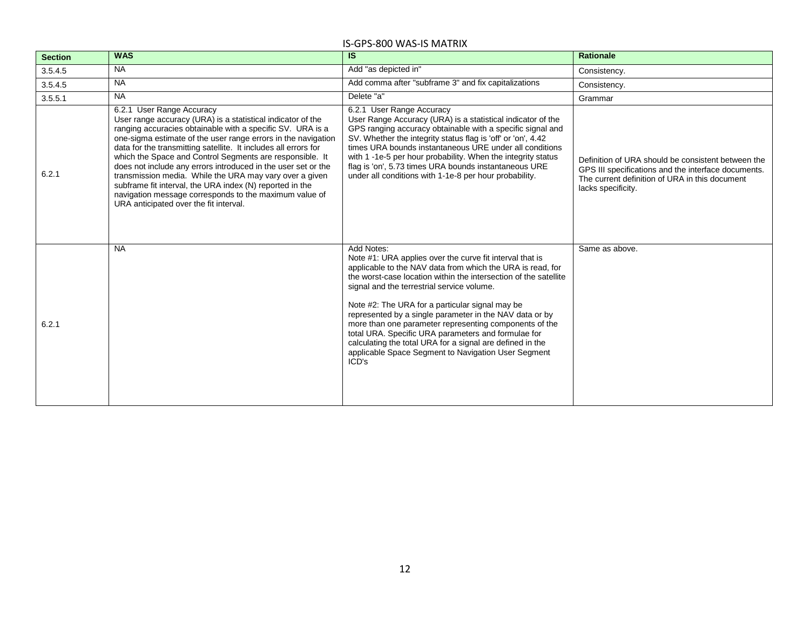| <b>Section</b> | <b>WAS</b>                                                                                                                                                                                                                                                                                                                                                                                                                                                                                                                                                                                                                                         | <b>IS</b>                                                                                                                                                                                                                                                                                                                                                                                                                                                                                                                                                                                                          | <b>Rationale</b>                                                                                                                                                                  |
|----------------|----------------------------------------------------------------------------------------------------------------------------------------------------------------------------------------------------------------------------------------------------------------------------------------------------------------------------------------------------------------------------------------------------------------------------------------------------------------------------------------------------------------------------------------------------------------------------------------------------------------------------------------------------|--------------------------------------------------------------------------------------------------------------------------------------------------------------------------------------------------------------------------------------------------------------------------------------------------------------------------------------------------------------------------------------------------------------------------------------------------------------------------------------------------------------------------------------------------------------------------------------------------------------------|-----------------------------------------------------------------------------------------------------------------------------------------------------------------------------------|
| 3.5.4.5        | <b>NA</b>                                                                                                                                                                                                                                                                                                                                                                                                                                                                                                                                                                                                                                          | Add "as depicted in"                                                                                                                                                                                                                                                                                                                                                                                                                                                                                                                                                                                               | Consistency.                                                                                                                                                                      |
| 3.5.4.5        | <b>NA</b>                                                                                                                                                                                                                                                                                                                                                                                                                                                                                                                                                                                                                                          | Add comma after "subframe 3" and fix capitalizations                                                                                                                                                                                                                                                                                                                                                                                                                                                                                                                                                               | Consistency.                                                                                                                                                                      |
| 3.5.5.1        | <b>NA</b>                                                                                                                                                                                                                                                                                                                                                                                                                                                                                                                                                                                                                                          | Delete "a"                                                                                                                                                                                                                                                                                                                                                                                                                                                                                                                                                                                                         | Grammar                                                                                                                                                                           |
| 6.2.1          | 6.2.1 User Range Accuracy<br>User range accuracy (URA) is a statistical indicator of the<br>ranging accuracies obtainable with a specific SV. URA is a<br>one-sigma estimate of the user range errors in the navigation<br>data for the transmitting satellite. It includes all errors for<br>which the Space and Control Segments are responsible. It<br>does not include any errors introduced in the user set or the<br>transmission media. While the URA may vary over a given<br>subframe fit interval, the URA index (N) reported in the<br>navigation message corresponds to the maximum value of<br>URA anticipated over the fit interval. | 6.2.1 User Range Accuracy<br>User Range Accuracy (URA) is a statistical indicator of the<br>GPS ranging accuracy obtainable with a specific signal and<br>SV. Whether the integrity status flag is 'off' or 'on', 4.42<br>times URA bounds instantaneous URE under all conditions<br>with 1 -1e-5 per hour probability. When the integrity status<br>flag is 'on', 5.73 times URA bounds instantaneous URE<br>under all conditions with 1-1e-8 per hour probability.                                                                                                                                               | Definition of URA should be consistent between the<br>GPS III specifications and the interface documents.<br>The current definition of URA in this document<br>lacks specificity. |
| 6.2.1          | <b>NA</b>                                                                                                                                                                                                                                                                                                                                                                                                                                                                                                                                                                                                                                          | Add Notes:<br>Note #1: URA applies over the curve fit interval that is<br>applicable to the NAV data from which the URA is read, for<br>the worst-case location within the intersection of the satellite<br>signal and the terrestrial service volume.<br>Note #2: The URA for a particular signal may be<br>represented by a single parameter in the NAV data or by<br>more than one parameter representing components of the<br>total URA. Specific URA parameters and formulae for<br>calculating the total URA for a signal are defined in the<br>applicable Space Segment to Navigation User Segment<br>ICD's | Same as above.                                                                                                                                                                    |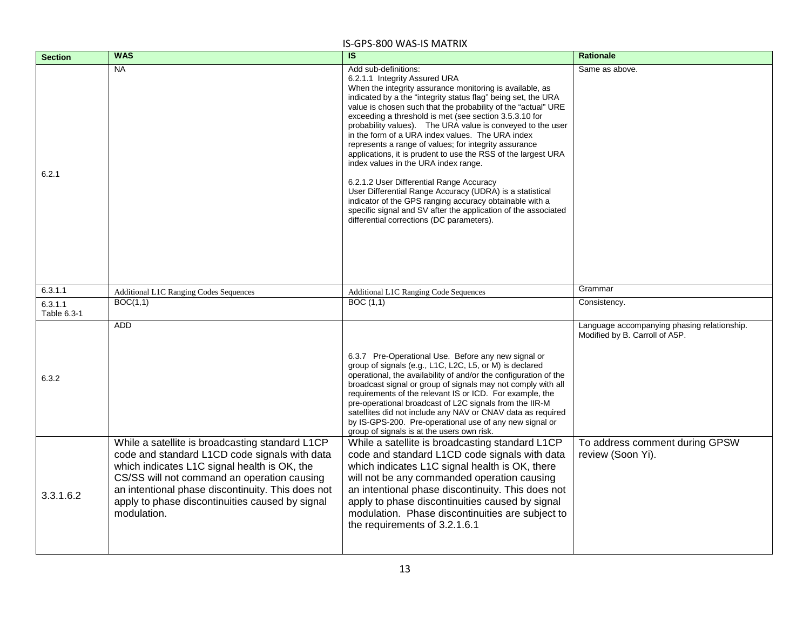| <b>Section</b>         | <b>WAS</b>                                                                                                                                                                                                                                                                                                             | $\overline{\mathsf{s}}$                                                                                                                                                                                                                                                                                                                                                                                                                                                                                                                                                                                                                                                                                                                                                                                                                                                             | <b>Rationale</b>                                                              |
|------------------------|------------------------------------------------------------------------------------------------------------------------------------------------------------------------------------------------------------------------------------------------------------------------------------------------------------------------|-------------------------------------------------------------------------------------------------------------------------------------------------------------------------------------------------------------------------------------------------------------------------------------------------------------------------------------------------------------------------------------------------------------------------------------------------------------------------------------------------------------------------------------------------------------------------------------------------------------------------------------------------------------------------------------------------------------------------------------------------------------------------------------------------------------------------------------------------------------------------------------|-------------------------------------------------------------------------------|
| 6.2.1                  | <b>NA</b>                                                                                                                                                                                                                                                                                                              | Add sub-definitions:<br>6.2.1.1 Integrity Assured URA<br>When the integrity assurance monitoring is available, as<br>indicated by a the "integrity status flag" being set, the URA<br>value is chosen such that the probability of the "actual" URE<br>exceeding a threshold is met (see section 3.5.3.10 for<br>probability values). The URA value is conveyed to the user<br>in the form of a URA index values. The URA index<br>represents a range of values; for integrity assurance<br>applications, it is prudent to use the RSS of the largest URA<br>index values in the URA index range.<br>6.2.1.2 User Differential Range Accuracy<br>User Differential Range Accuracy (UDRA) is a statistical<br>indicator of the GPS ranging accuracy obtainable with a<br>specific signal and SV after the application of the associated<br>differential corrections (DC parameters). | Same as above.                                                                |
| 6.3.1.1                | <b>Additional L1C Ranging Codes Sequences</b>                                                                                                                                                                                                                                                                          | <b>Additional L1C Ranging Code Sequences</b>                                                                                                                                                                                                                                                                                                                                                                                                                                                                                                                                                                                                                                                                                                                                                                                                                                        | Grammar                                                                       |
| 6.3.1.1<br>Table 6.3-1 | BOC(1,1)                                                                                                                                                                                                                                                                                                               | BOC(1,1)                                                                                                                                                                                                                                                                                                                                                                                                                                                                                                                                                                                                                                                                                                                                                                                                                                                                            | Consistency.                                                                  |
| 6.3.2                  | <b>ADD</b>                                                                                                                                                                                                                                                                                                             | 6.3.7 Pre-Operational Use. Before any new signal or<br>group of signals (e.g., L1C, L2C, L5, or M) is declared<br>operational, the availability of and/or the configuration of the<br>broadcast signal or group of signals may not comply with all<br>requirements of the relevant IS or ICD. For example, the<br>pre-operational broadcast of L2C signals from the IIR-M<br>satellites did not include any NAV or CNAV data as required<br>by IS-GPS-200. Pre-operational use of any new signal or<br>group of signals is at the users own risk.                                                                                                                                                                                                                                                                                                                                   | Language accompanying phasing relationship.<br>Modified by B. Carroll of A5P. |
| 3.3.1.6.2              | While a satellite is broadcasting standard L1CP<br>code and standard L1CD code signals with data<br>which indicates L1C signal health is OK, the<br>CS/SS will not command an operation causing<br>an intentional phase discontinuity. This does not<br>apply to phase discontinuities caused by signal<br>modulation. | While a satellite is broadcasting standard L1CP<br>code and standard L1CD code signals with data<br>which indicates L1C signal health is OK, there<br>will not be any commanded operation causing<br>an intentional phase discontinuity. This does not<br>apply to phase discontinuities caused by signal<br>modulation. Phase discontinuities are subject to<br>the requirements of 3.2.1.6.1                                                                                                                                                                                                                                                                                                                                                                                                                                                                                      | To address comment during GPSW<br>review (Soon Yi).                           |